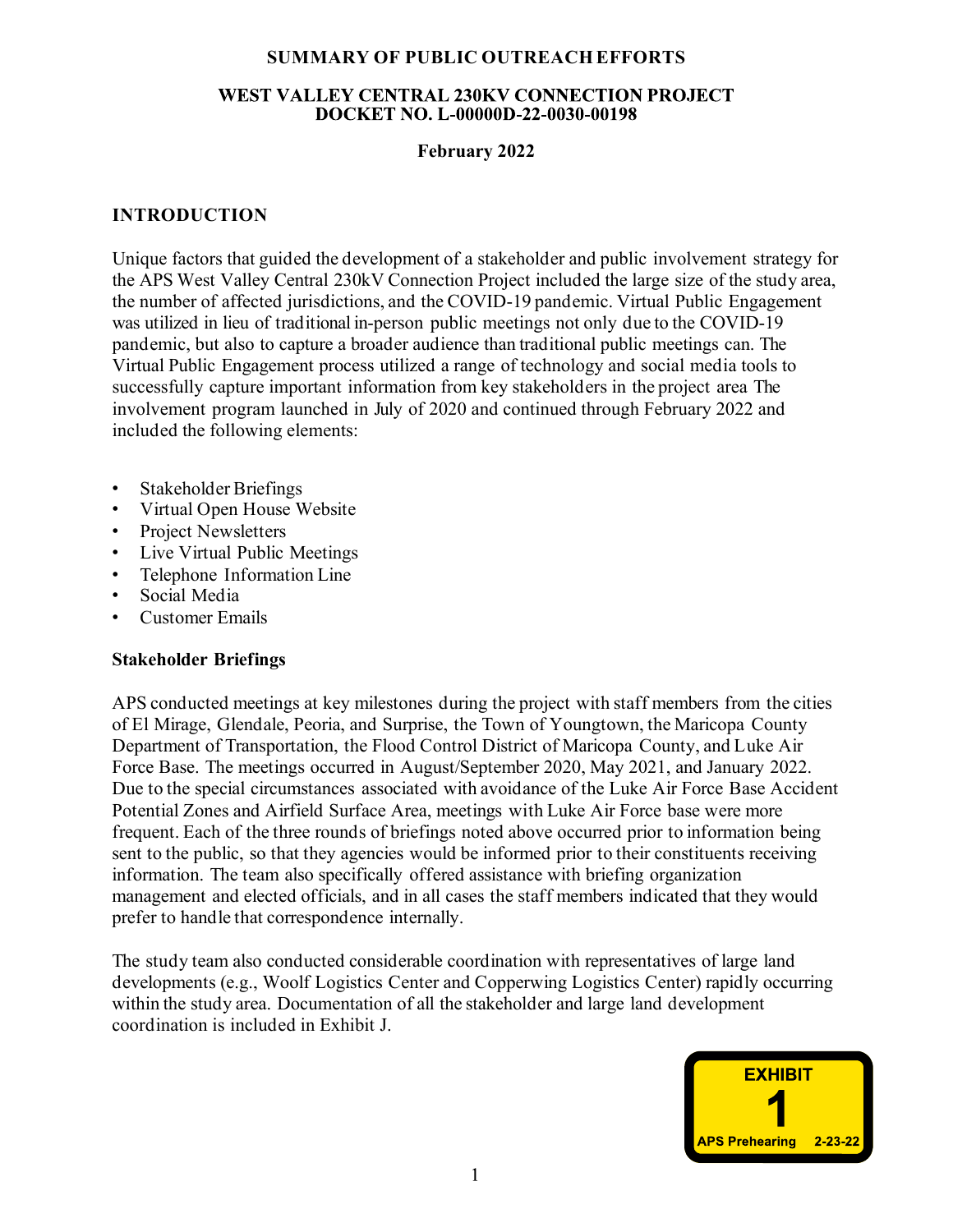# SUMMARY OF PUBLIC OUTREACH EFFORTS

## **WEST VALLEY CENTRAL 230KV CONNECTION PROJECT** DOCKET NO. L-00000D-22-0030-00198

# February 2022

# INTRODUCTION

Unique factors that guided the development of a stakeholder and public involvement strategy for the APS West Valley Central 230kV Connection Project included the large size of the study area, the number of affected jurisdictions, and the COVID-19 pandemic. Virtual Public Engagement was utilized in lieu of traditional in-person public meetings not only due to the COVID-19 pandemic, but also to capture a broader audience than traditional public meetings can. The Virtual Public Engagement process utilized a range of technology and social media tools to successfully capture important information from key stakeholders in the project area The involvement program launched in July of 2020 and continued through February 2022 and included the following elements:

- Stakeholder Briefings
- Virtual Open House Website
- Project Newsletters
- Live Virtual Public Meetings
- Telephone Information Line
- Social Media
- Customer Emails

## Stakeholder Briefings

APS conducted meetings at key milestones during the project with staff members from the cities of El Mirage, Glendale, Peoria, and Surprise, the Town of Youngtown, the Maricopa County Department of Transportation, the Flood Control District of Maricopa County, and Luke Air Force Base. The meetings occurred in August/September 2020, May 2021, and January 2022. Due to the special circumstances associated with avoidance of the Luke Air Force Base Accident Potential Zones and Airfield Surface Area, meetings with Luke Air Force base were more frequent. Each of the three rounds of briefings noted above occurred prior to information being sent to the public, so that they agencies would be informed prior to their constituents receiving information. The team also specifically offered assistance with briefing organization management and elected officials, and in all cases the staff members indicated that they would prefer to handle that correspondence internally.

The study team also conducted considerable coordination with representatives of large land developments (e.g., Woolf Logistics Center and Copperwing Logistics Center) rapidly occurring within the study area. Documentation of all the stakeholder and large land development coordination is included in Exhibit J.